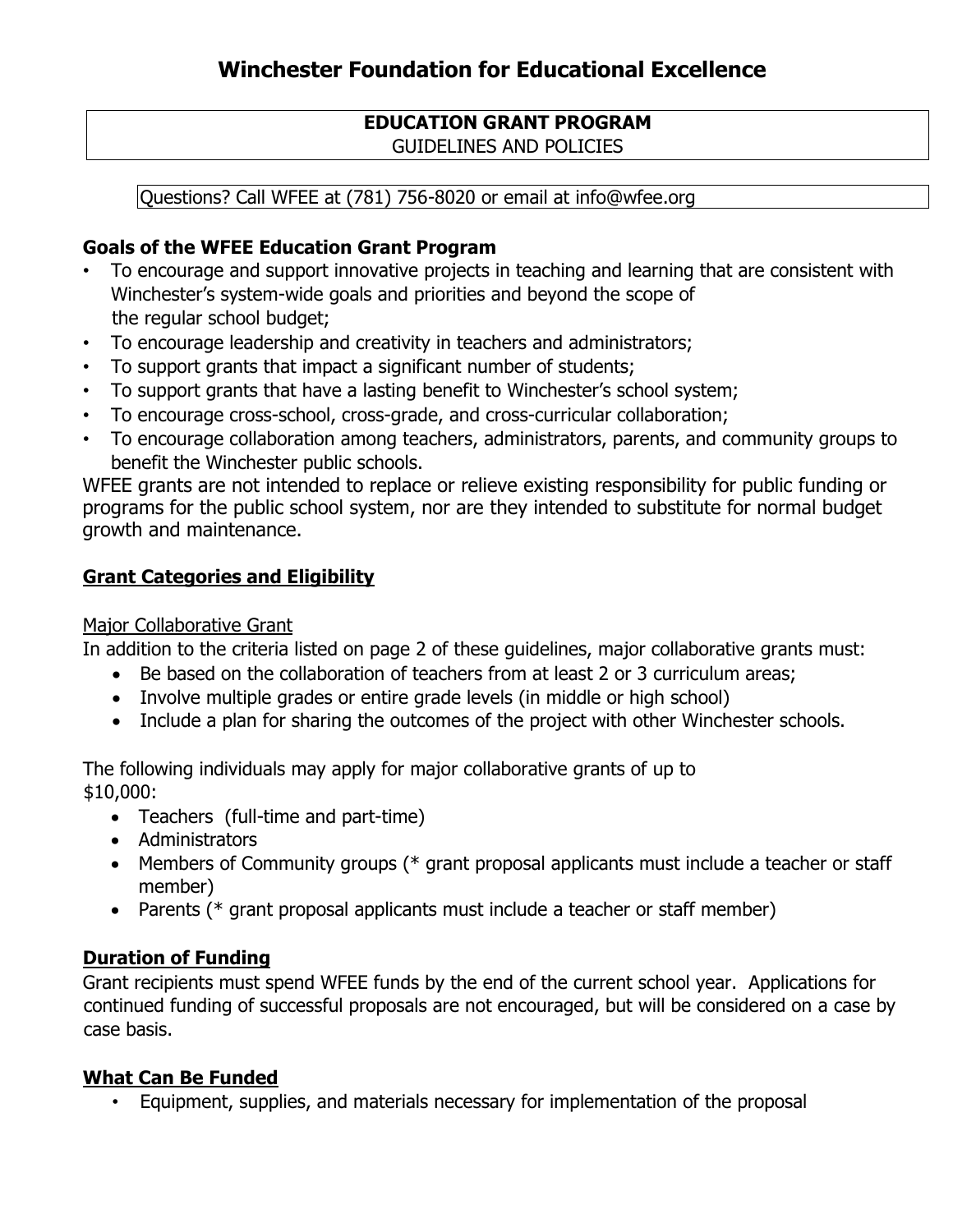#### **EDUCATION GRANT PROGRAM**  GUIDELINES AND POLICIES

Questions? Call WFEE at (781) 756-8020 or email at info@wfee.org

#### **Goals of the WFEE Education Grant Program**

- To encourage and support innovative projects in teaching and learning that are consistent with Winchester's system-wide goals and priorities and beyond the scope of the regular school budget;
- To encourage leadership and creativity in teachers and administrators;
- To support grants that impact a significant number of students;
- To support grants that have a lasting benefit to Winchester's school system;
- To encourage cross-school, cross-grade, and cross-curricular collaboration;
- To encourage collaboration among teachers, administrators, parents, and community groups to benefit the Winchester public schools.

WFEE grants are not intended to replace or relieve existing responsibility for public funding or programs for the public school system, nor are they intended to substitute for normal budget growth and maintenance.

#### **Grant Categories and Eligibility**

#### Major Collaborative Grant

In addition to the criteria listed on page 2 of these guidelines, major collaborative grants must:

- Be based on the collaboration of teachers from at least 2 or 3 curriculum areas;
- Involve multiple grades or entire grade levels (in middle or high school)
- Include a plan for sharing the outcomes of the project with other Winchester schools.

The following individuals may apply for major collaborative grants of up to \$10,000:

- Teachers (full-time and part-time)
- Administrators
- Members of Community groups (\* grant proposal applicants must include a teacher or staff member)
- Parents (\* grant proposal applicants must include a teacher or staff member)

## **Duration of Funding**

Grant recipients must spend WFEE funds by the end of the current school year. Applications for continued funding of successful proposals are not encouraged, but will be considered on a case by case basis.

## **What Can Be Funded**

• Equipment, supplies, and materials necessary for implementation of the proposal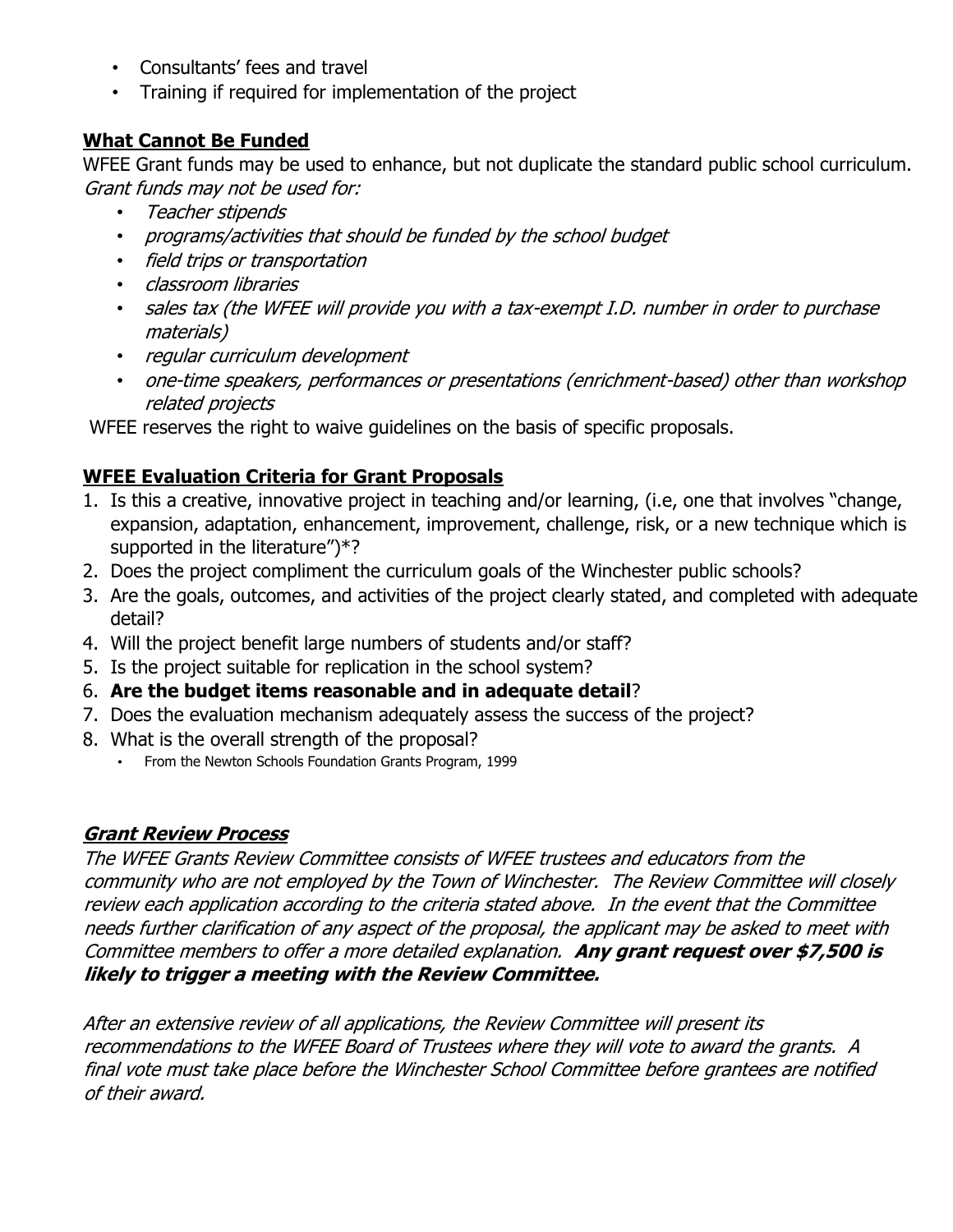- Consultants' fees and travel
- Training if required for implementation of the project

# **What Cannot Be Funded**

WFEE Grant funds may be used to enhance, but not duplicate the standard public school curriculum. Grant funds may not be used for:

- Teacher stipends
- programs/activities that should be funded by the school budget
- field trips or transportation
- classroom libraries
- sales tax (the WFEE will provide you with a tax-exempt I.D. number in order to purchase materials)
- regular curriculum development
- one-time speakers, performances or presentations (enrichment-based) other than workshop related projects

WFEE reserves the right to waive guidelines on the basis of specific proposals.

# **WFEE Evaluation Criteria for Grant Proposals**

- 1. Is this a creative, innovative project in teaching and/or learning, (i.e, one that involves "change, expansion, adaptation, enhancement, improvement, challenge, risk, or a new technique which is supported in the literature")\*?
- 2. Does the project compliment the curriculum goals of the Winchester public schools?
- 3. Are the goals, outcomes, and activities of the project clearly stated, and completed with adequate detail?
- 4. Will the project benefit large numbers of students and/or staff?
- 5. Is the project suitable for replication in the school system?
- 6. **Are the budget items reasonable and in adequate detail**?
- 7. Does the evaluation mechanism adequately assess the success of the project?
- 8. What is the overall strength of the proposal?
	- From the Newton Schools Foundation Grants Program, 1999

## **Grant Review Process**

The WFEE Grants Review Committee consists of WFEE trustees and educators from the community who are not employed by the Town of Winchester. The Review Committee will closely review each application according to the criteria stated above. In the event that the Committee needs further clarification of any aspect of the proposal, the applicant may be asked to meet with Committee members to offer a more detailed explanation. **Any grant request over \$7,500 is likely to trigger a meeting with the Review Committee.** 

After an extensive review of all applications, the Review Committee will present its recommendations to the WFEE Board of Trustees where they will vote to award the grants. A final vote must take place before the Winchester School Committee before grantees are notified of their award.